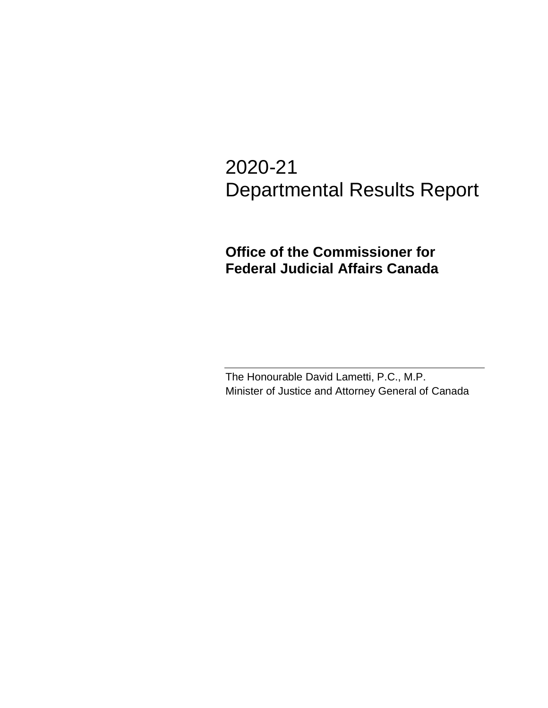# 2020-21 Departmental Results Report

## **Office of the Commissioner for Federal Judicial Affairs Canada**

The Honourable David Lametti, P.C., M.P. Minister of Justice and Attorney General of Canada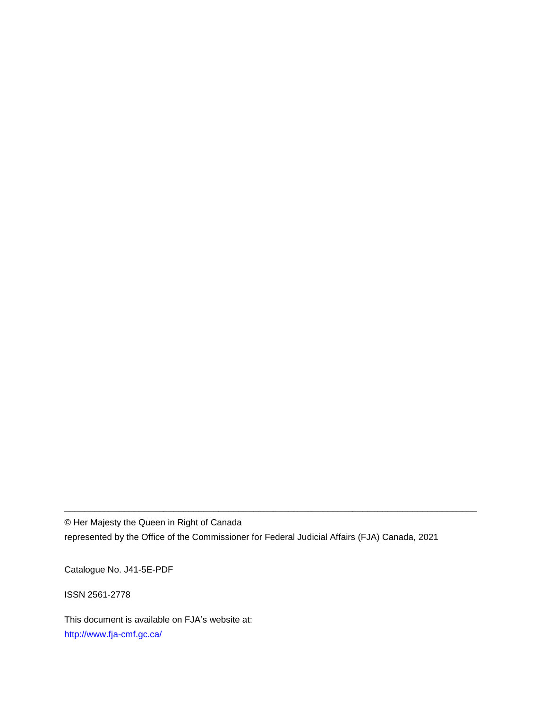© Her Majesty the Queen in Right of Canada represented by the Office of the Commissioner for Federal Judicial Affairs (FJA) Canada, 2021

\_\_\_\_\_\_\_\_\_\_\_\_\_\_\_\_\_\_\_\_\_\_\_\_\_\_\_\_\_\_\_\_\_\_\_\_\_\_\_\_\_\_\_\_\_\_\_\_\_\_\_\_\_\_\_\_\_\_\_\_\_\_\_\_\_\_\_\_\_\_\_\_\_\_\_\_\_\_\_\_\_\_\_

Catalogue No. J41-5E-PDF

ISSN 2561-2778

This document is available on FJA's website at: <http://www.fja-cmf.gc.ca/>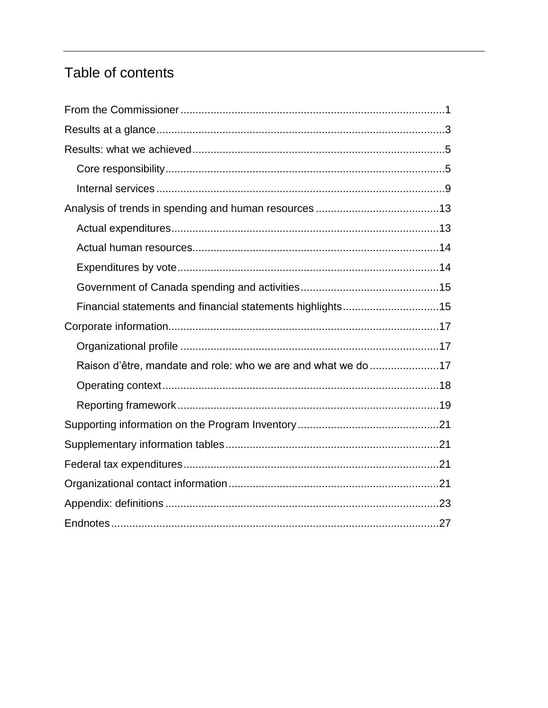## Table of contents

| Financial statements and financial statements highlights15    |  |
|---------------------------------------------------------------|--|
|                                                               |  |
|                                                               |  |
| Raison d'être, mandate and role: who we are and what we do 17 |  |
|                                                               |  |
|                                                               |  |
|                                                               |  |
|                                                               |  |
|                                                               |  |
|                                                               |  |
|                                                               |  |
|                                                               |  |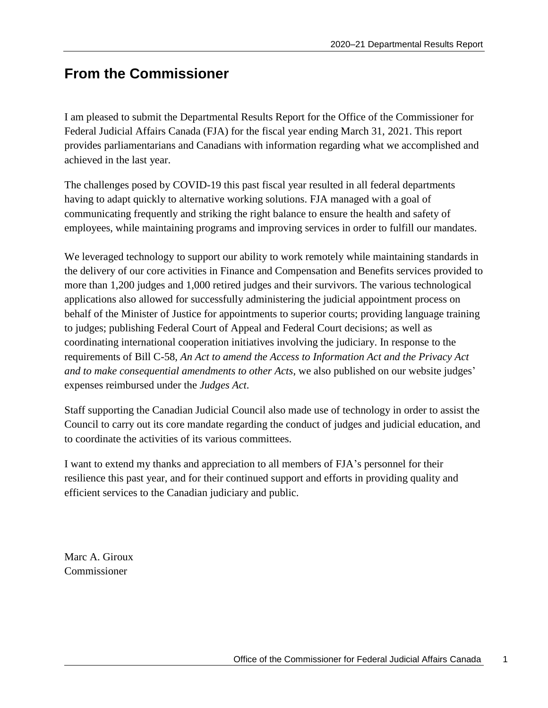## <span id="page-4-0"></span>**From the Commissioner**

I am pleased to submit the Departmental Results Report for the Office of the Commissioner for Federal Judicial Affairs Canada (FJA) for the fiscal year ending March 31, 2021. This report provides parliamentarians and Canadians with information regarding what we accomplished and achieved in the last year.

The challenges posed by COVID-19 this past fiscal year resulted in all federal departments having to adapt quickly to alternative working solutions. FJA managed with a goal of communicating frequently and striking the right balance to ensure the health and safety of employees, while maintaining programs and improving services in order to fulfill our mandates.

We leveraged technology to support our ability to work remotely while maintaining standards in the delivery of our core activities in Finance and Compensation and Benefits services provided to more than 1,200 judges and 1,000 retired judges and their survivors. The various technological applications also allowed for successfully administering the judicial appointment process on behalf of the Minister of Justice for appointments to superior courts; providing language training to judges; publishing Federal Court of Appeal and Federal Court decisions; as well as coordinating international cooperation initiatives involving the judiciary. In response to the requirements of Bill C-58, *An Act to amend the Access to Information Act and the Privacy Act and to make consequential amendments to other Acts*, we also published on our website judges' expenses reimbursed under the *Judges Act*.

Staff supporting the Canadian Judicial Council also made use of technology in order to assist the Council to carry out its core mandate regarding the conduct of judges and judicial education, and to coordinate the activities of its various committees.

I want to extend my thanks and appreciation to all members of FJA's personnel for their resilience this past year, and for their continued support and efforts in providing quality and efficient services to the Canadian judiciary and public.

Marc A. Giroux Commissioner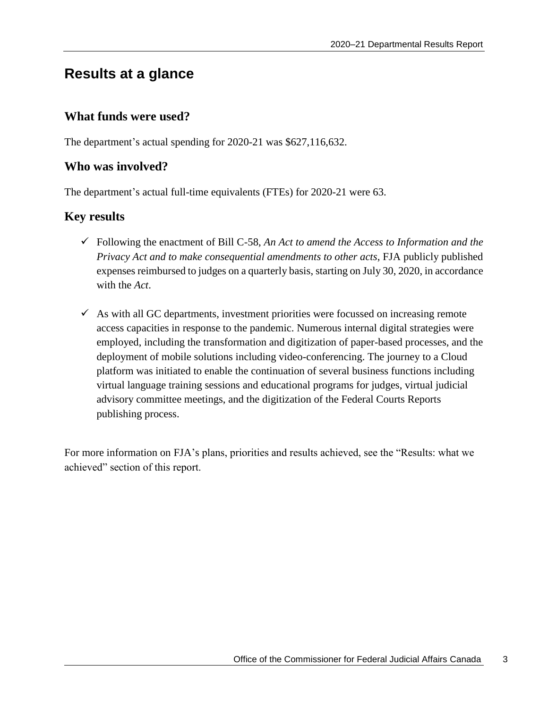## <span id="page-6-0"></span>**Results at a glance**

#### **What funds were used?**

The department's actual spending for 2020-21 was \$627,116,632.

#### **Who was involved?**

The department's actual full-time equivalents (FTEs) for 2020-21 were 63.

#### **Key results**

- Following the enactment of Bill C-58, *An Act to amend the Access to Information and the Privacy Act and to make consequential amendments to other acts*, FJA publicly published expenses reimbursed to judges on a quarterly basis, starting on July 30, 2020, in accordance with the *Act*.
- $\checkmark$  As with all GC departments, investment priorities were focussed on increasing remote access capacities in response to the pandemic. Numerous internal digital strategies were employed, including the transformation and digitization of paper-based processes, and the deployment of mobile solutions including video-conferencing. The journey to a Cloud platform was initiated to enable the continuation of several business functions including virtual language training sessions and educational programs for judges, virtual judicial advisory committee meetings, and the digitization of the Federal Courts Reports publishing process.

For more information on FJA's plans, priorities and results achieved, see the "Results: what we achieved" section of this report.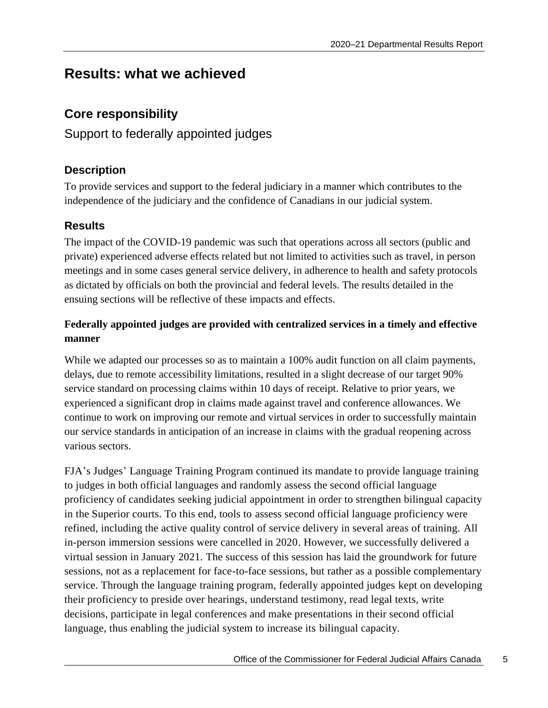## <span id="page-8-0"></span>**Results: what we achieved**

## <span id="page-8-1"></span>**Core responsibility**

Support to federally appointed judges

### **Description**

To provide services and support to the federal judiciary in a manner which contributes to the independence of the judiciary and the confidence of Canadians in our judicial system.

### **Results**

The impact of the COVID-19 pandemic was such that operations across all sectors (public and private) experienced adverse effects related but not limited to activities such as travel, in person meetings and in some cases general service delivery, in adherence to health and safety protocols as dictated by officials on both the provincial and federal levels. The results detailed in the ensuing sections will be reflective of these impacts and effects.

### **Federally appointed judges are provided with centralized services in a timely and effective manner**

While we adapted our processes so as to maintain a 100% audit function on all claim payments, delays, due to remote accessibility limitations, resulted in a slight decrease of our target 90% service standard on processing claims within 10 days of receipt. Relative to prior years, we experienced a significant drop in claims made against travel and conference allowances. We continue to work on improving our remote and virtual services in order to successfully maintain our service standards in anticipation of an increase in claims with the gradual reopening across various sectors.

FJA's Judges' Language Training Program continued its mandate to provide language training to judges in both official languages and randomly assess the second official language proficiency of candidates seeking judicial appointment in order to strengthen bilingual capacity in the Superior courts. To this end, tools to assess second official language proficiency were refined, including the active quality control of service delivery in several areas of training. All in-person immersion sessions were cancelled in 2020. However, we successfully delivered a virtual session in January 2021. The success of this session has laid the groundwork for future sessions, not as a replacement for face-to-face sessions, but rather as a possible complementary service. Through the language training program, federally appointed judges kept on developing their proficiency to preside over hearings, understand testimony, read legal texts, write decisions, participate in legal conferences and make presentations in their second official language, thus enabling the judicial system to increase its bilingual capacity.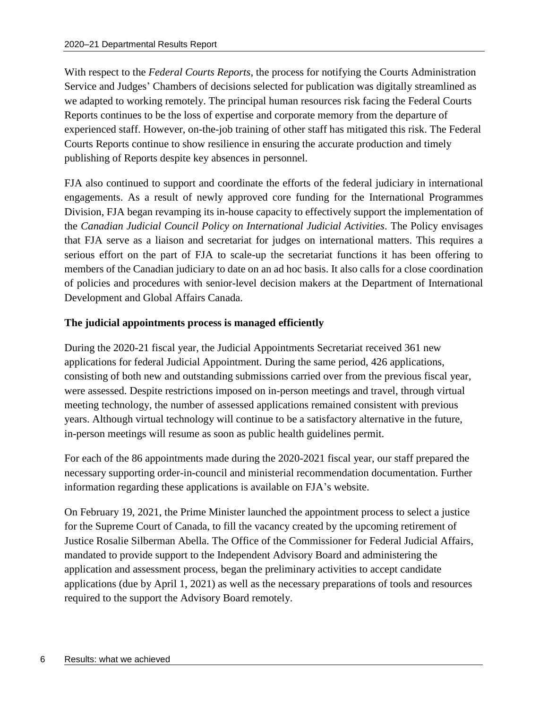With respect to the *Federal Courts Reports*, the process for notifying the Courts Administration Service and Judges' Chambers of decisions selected for publication was digitally streamlined as we adapted to working remotely. The principal human resources risk facing the Federal Courts Reports continues to be the loss of expertise and corporate memory from the departure of experienced staff. However, on-the-job training of other staff has mitigated this risk. The Federal Courts Reports continue to show resilience in ensuring the accurate production and timely publishing of Reports despite key absences in personnel.

FJA also continued to support and coordinate the efforts of the federal judiciary in international engagements. As a result of newly approved core funding for the International Programmes Division, FJA began revamping its in-house capacity to effectively support the implementation of the *Canadian Judicial Council Policy on International Judicial Activities*. The Policy envisages that FJA serve as a liaison and secretariat for judges on international matters. This requires a serious effort on the part of FJA to scale-up the secretariat functions it has been offering to members of the Canadian judiciary to date on an ad hoc basis. It also calls for a close coordination of policies and procedures with senior-level decision makers at the Department of International Development and Global Affairs Canada.

#### **The judicial appointments process is managed efficiently**

During the 2020-21 fiscal year, the Judicial Appointments Secretariat received 361 new applications for federal Judicial Appointment. During the same period, 426 applications, consisting of both new and outstanding submissions carried over from the previous fiscal year, were assessed. Despite restrictions imposed on in-person meetings and travel, through virtual meeting technology, the number of assessed applications remained consistent with previous years. Although virtual technology will continue to be a satisfactory alternative in the future, in-person meetings will resume as soon as public health guidelines permit.

For each of the 86 appointments made during the 2020-2021 fiscal year, our staff prepared the necessary supporting order-in-council and ministerial recommendation documentation. Further information regarding these applications is available on FJA's website.

On February 19, 2021, the Prime Minister launched the appointment process to select a justice for the Supreme Court of Canada, to fill the vacancy created by the upcoming retirement of Justice Rosalie Silberman Abella. The Office of the Commissioner for Federal Judicial Affairs, mandated to provide support to the Independent Advisory Board and administering the application and assessment process, began the preliminary activities to accept candidate applications (due by April 1, 2021) as well as the necessary preparations of tools and resources required to the support the Advisory Board remotely.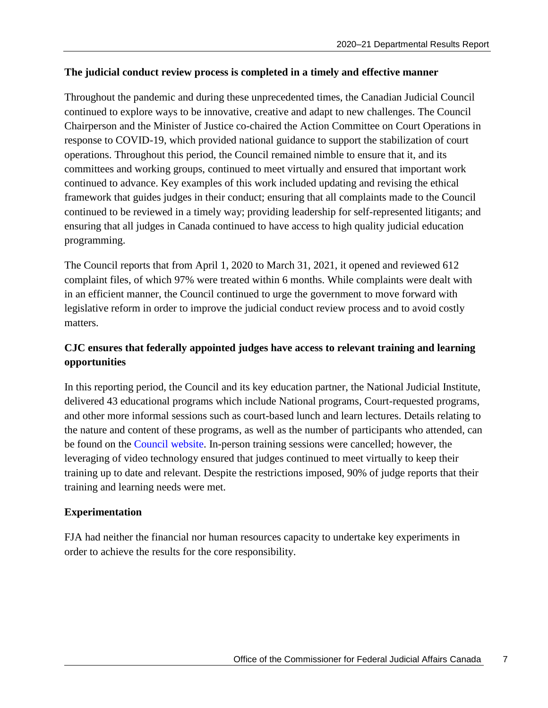#### **The judicial conduct review process is completed in a timely and effective manner**

Throughout the pandemic and during these unprecedented times, the Canadian Judicial Council continued to explore ways to be innovative, creative and adapt to new challenges. The Council Chairperson and the Minister of Justice co-chaired the Action Committee on Court Operations in response to COVID-19, which provided national guidance to support the stabilization of court operations. Throughout this period, the Council remained nimble to ensure that it, and its committees and working groups, continued to meet virtually and ensured that important work continued to advance. Key examples of this work included updating and revising the ethical framework that guides judges in their conduct; ensuring that all complaints made to the Council continued to be reviewed in a timely way; providing leadership for self-represented litigants; and ensuring that all judges in Canada continued to have access to high quality judicial education programming.

The Council reports that from April 1, 2020 to March 31, 2021, it opened and reviewed 612 complaint files, of which 97% were treated within 6 months. While complaints were dealt with in an efficient manner, the Council continued to urge the government to move forward with legislative reform in order to improve the judicial conduct review process and to avoid costly matters.

### **CJC ensures that federally appointed judges have access to relevant training and learning opportunities**

In this reporting period, the Council and its key education partner, the National Judicial Institute, delivered 43 educational programs which include National programs, Court-requested programs, and other more informal sessions such as court-based lunch and learn lectures. Details relating to the nature and content of these programs, as well as the number of participants who attended, can be found on the [Council website.](https://cjc-ccm.ca/en/what-we-do/professional-development/programs?date_sort=DESC&page=1&category=) In-person training sessions were cancelled; however, the leveraging of video technology ensured that judges continued to meet virtually to keep their training up to date and relevant. Despite the restrictions imposed, 90% of judge reports that their training and learning needs were met.

#### **Experimentation**

FJA had neither the financial nor human resources capacity to undertake key experiments in order to achieve the results for the core responsibility.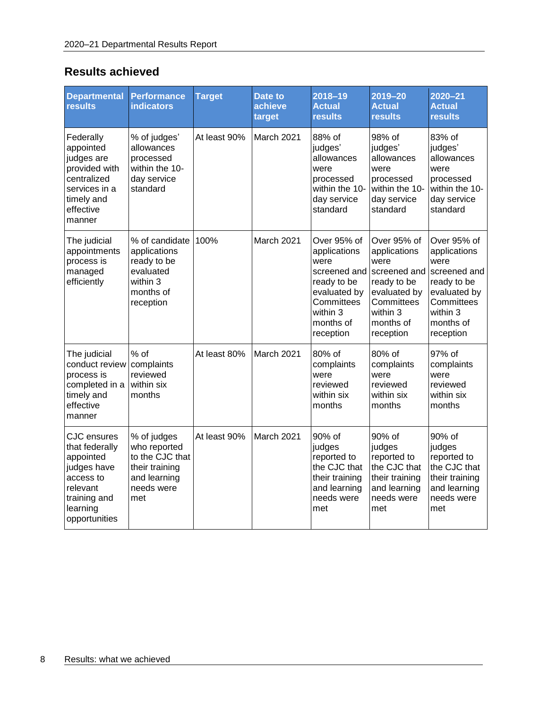## **Results achieved**

| <b>Departmental</b><br><b>results</b>                                                                                                  | <b>Performance</b><br><b>indicators</b>                                                               | <b>Target</b> | <b>Date to</b><br>achieve<br>target | 2018-19<br><b>Actual</b><br><b>results</b>                                                                                             | $2019 - 20$<br><b>Actual</b><br><b>results</b>                                                                                         | $2020 - 21$<br><b>Actual</b><br><b>results</b>                                                                                         |
|----------------------------------------------------------------------------------------------------------------------------------------|-------------------------------------------------------------------------------------------------------|---------------|-------------------------------------|----------------------------------------------------------------------------------------------------------------------------------------|----------------------------------------------------------------------------------------------------------------------------------------|----------------------------------------------------------------------------------------------------------------------------------------|
| Federally<br>appointed<br>judges are<br>provided with<br>centralized<br>services in a<br>timely and<br>effective<br>manner             | % of judges'<br>allowances<br>processed<br>within the 10-<br>day service<br>standard                  | At least 90%  | March 2021                          | 88% of<br>judges'<br>allowances<br>were<br>processed<br>within the 10-<br>day service<br>standard                                      | 98% of<br>judges'<br>allowances<br>were<br>processed<br>within the 10-<br>day service<br>standard                                      | 83% of<br>judges'<br>allowances<br>were<br>processed<br>within the 10-<br>day service<br>standard                                      |
| The judicial<br>appointments<br>process is<br>managed<br>efficiently                                                                   | % of candidate<br>applications<br>ready to be<br>evaluated<br>within 3<br>months of<br>reception      | 100%          | March 2021                          | Over 95% of<br>applications<br>were<br>screened and<br>ready to be<br>evaluated by<br>Committees<br>within 3<br>months of<br>reception | Over 95% of<br>applications<br>were<br>screened and<br>ready to be<br>evaluated by<br>Committees<br>within 3<br>months of<br>reception | Over 95% of<br>applications<br>were<br>screened and<br>ready to be<br>evaluated by<br>Committees<br>within 3<br>months of<br>reception |
| The judicial<br>conduct review<br>process is<br>completed in a<br>timely and<br>effective<br>manner                                    | $%$ of<br>complaints<br>reviewed<br>within six<br>months                                              | At least 80%  | March 2021                          | 80% of<br>complaints<br>were<br>reviewed<br>within six<br>months                                                                       | 80% of<br>complaints<br>were<br>reviewed<br>within six<br>months                                                                       | 97% of<br>complaints<br>were<br>reviewed<br>within six<br>months                                                                       |
| <b>CJC</b> ensures<br>that federally<br>appointed<br>judges have<br>access to<br>relevant<br>training and<br>learning<br>opportunities | % of judges<br>who reported<br>to the CJC that<br>their training<br>and learning<br>needs were<br>met | At least 90%  | March 2021                          | 90% of<br>judges<br>reported to<br>the CJC that<br>their training<br>and learning<br>needs were<br>met                                 | 90% of<br>judges<br>reported to<br>the CJC that<br>their training<br>and learning<br>needs were<br>met                                 | 90% of<br>judges<br>reported to<br>the CJC that<br>their training<br>and learning<br>needs were<br>met                                 |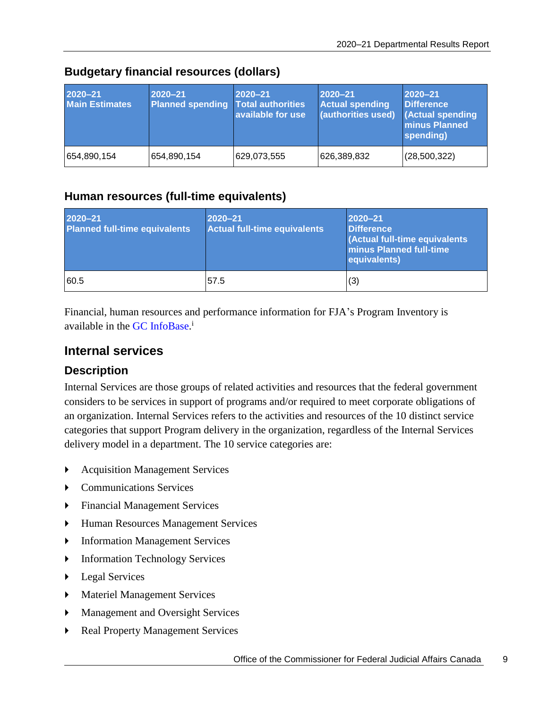| 2020-21<br><b>Main Estimates</b> | 2020-21<br><b>Planned spending Total authorities</b> | 2020-21<br>available for use | $2020 - 21$<br><b>Actual spending</b><br>(authorities used) | 2020-21<br><b>Difference</b><br><b>(Actual spending</b><br><b>minus Planned</b><br>spending) |
|----------------------------------|------------------------------------------------------|------------------------------|-------------------------------------------------------------|----------------------------------------------------------------------------------------------|
| 654,890,154                      | 654,890,154                                          | 629,073,555                  | 626,389,832                                                 | (28, 500, 322)                                                                               |

### **Budgetary financial resources (dollars)**

#### **Human resources (full-time equivalents)**

| 2020-21<br><b>Planned full-time equivalents</b> | 2020-21<br><b>Actual full-time equivalents</b> | 2020-21<br><b>Difference</b><br>(Actual full-time equivalents<br><b>Iminus Planned full-time</b><br>equivalents) |
|-------------------------------------------------|------------------------------------------------|------------------------------------------------------------------------------------------------------------------|
| 60.5                                            | 57.5                                           | (3)                                                                                                              |

Financial, human resources and performance information for FJA's Program Inventory is available in the GC [InfoBase.](https://www.tbs-sct.gc.ca/ems-sgd/edb-bdd/index-eng.html)<sup>i</sup>

### <span id="page-12-0"></span>**Internal services**

#### **Description**

Internal Services are those groups of related activities and resources that the federal government considers to be services in support of programs and/or required to meet corporate obligations of an organization. Internal Services refers to the activities and resources of the 10 distinct service categories that support Program delivery in the organization, regardless of the Internal Services delivery model in a department. The 10 service categories are:

- **Acquisition Management Services**
- Communications Services
- Financial Management Services
- Human Resources Management Services
- **Information Management Services**
- Information Technology Services
- **Legal Services**
- **Materiel Management Services**
- **Management and Oversight Services**
- Real Property Management Services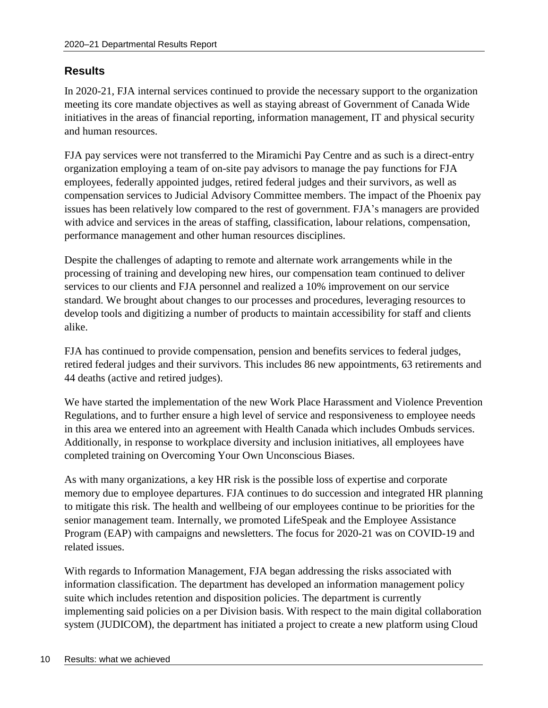### **Results**

In 2020-21, FJA internal services continued to provide the necessary support to the organization meeting its core mandate objectives as well as staying abreast of Government of Canada Wide initiatives in the areas of financial reporting, information management, IT and physical security and human resources.

FJA pay services were not transferred to the Miramichi Pay Centre and as such is a direct-entry organization employing a team of on-site pay advisors to manage the pay functions for FJA employees, federally appointed judges, retired federal judges and their survivors, as well as compensation services to Judicial Advisory Committee members. The impact of the Phoenix pay issues has been relatively low compared to the rest of government. FJA's managers are provided with advice and services in the areas of staffing, classification, labour relations, compensation, performance management and other human resources disciplines.

Despite the challenges of adapting to remote and alternate work arrangements while in the processing of training and developing new hires, our compensation team continued to deliver services to our clients and FJA personnel and realized a 10% improvement on our service standard. We brought about changes to our processes and procedures, leveraging resources to develop tools and digitizing a number of products to maintain accessibility for staff and clients alike.

FJA has continued to provide compensation, pension and benefits services to federal judges, retired federal judges and their survivors. This includes 86 new appointments, 63 retirements and 44 deaths (active and retired judges).

We have started the implementation of the new Work Place Harassment and Violence Prevention Regulations, and to further ensure a high level of service and responsiveness to employee needs in this area we entered into an agreement with Health Canada which includes Ombuds services. Additionally, in response to workplace diversity and inclusion initiatives, all employees have completed training on Overcoming Your Own Unconscious Biases.

As with many organizations, a key HR risk is the possible loss of expertise and corporate memory due to employee departures. FJA continues to do succession and integrated HR planning to mitigate this risk. The health and wellbeing of our employees continue to be priorities for the senior management team. Internally, we promoted LifeSpeak and the Employee Assistance Program (EAP) with campaigns and newsletters. The focus for 2020-21 was on COVID-19 and related issues.

With regards to Information Management, FJA began addressing the risks associated with information classification. The department has developed an information management policy suite which includes retention and disposition policies. The department is currently implementing said policies on a per Division basis. With respect to the main digital collaboration system (JUDICOM), the department has initiated a project to create a new platform using Cloud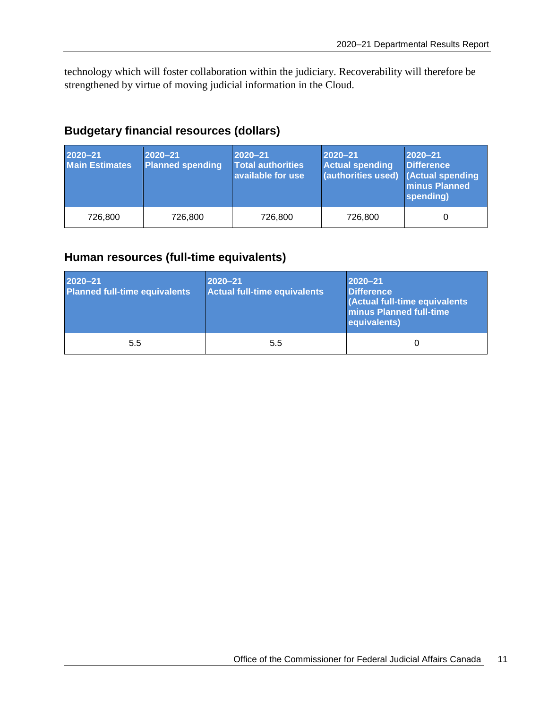technology which will foster collaboration within the judiciary. Recoverability will therefore be strengthened by virtue of moving judicial information in the Cloud.

### **Budgetary financial resources (dollars)**

| 2020-21<br><b>Main Estimates</b> | 2020-21<br><b>Planned spending</b> | 2020-21<br><b>Total authorities</b><br>available for use | 2020-21<br><b>Actual spending</b><br>(authorities used) (Actual spending | $2020 - 21$<br><b>Difference</b><br><b>minus Planned</b><br>spending) |
|----------------------------------|------------------------------------|----------------------------------------------------------|--------------------------------------------------------------------------|-----------------------------------------------------------------------|
| 726,800                          | 726.800                            | 726.800                                                  | 726.800                                                                  |                                                                       |

### **Human resources (full-time equivalents)**

| 2020-21<br><b>Planned full-time equivalents</b> | 2020-21<br><b>Actual full-time equivalents</b> | 2020-21<br><b>Difference</b><br>(Actual full-time equivalents<br><b>Iminus Planned full-time</b><br>equivalents) |
|-------------------------------------------------|------------------------------------------------|------------------------------------------------------------------------------------------------------------------|
| 5.5                                             | 5.5                                            | 0                                                                                                                |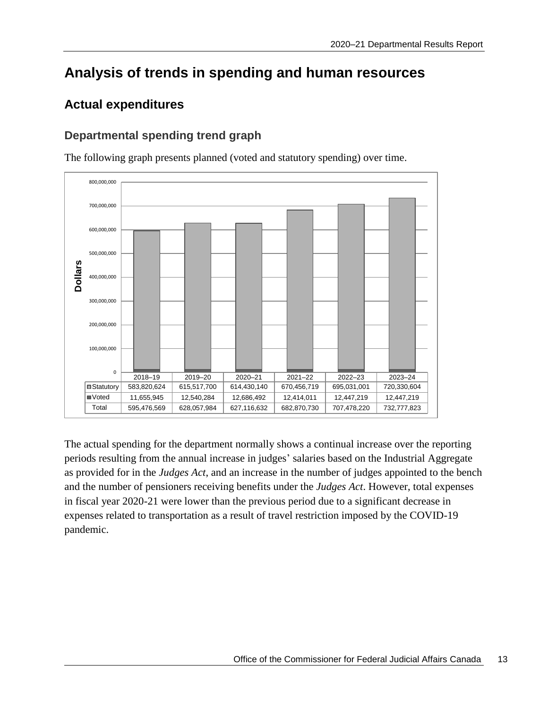## <span id="page-16-0"></span>**Analysis of trends in spending and human resources**

## <span id="page-16-1"></span>**Actual expenditures**

### **Departmental spending trend graph**



The following graph presents planned (voted and statutory spending) over time.

The actual spending for the department normally shows a continual increase over the reporting periods resulting from the annual increase in judges' salaries based on the Industrial Aggregate as provided for in the *Judges Act*, and an increase in the number of judges appointed to the bench and the number of pensioners receiving benefits under the *Judges Act*. However, total expenses in fiscal year 2020-21 were lower than the previous period due to a significant decrease in expenses related to transportation as a result of travel restriction imposed by the COVID-19 pandemic.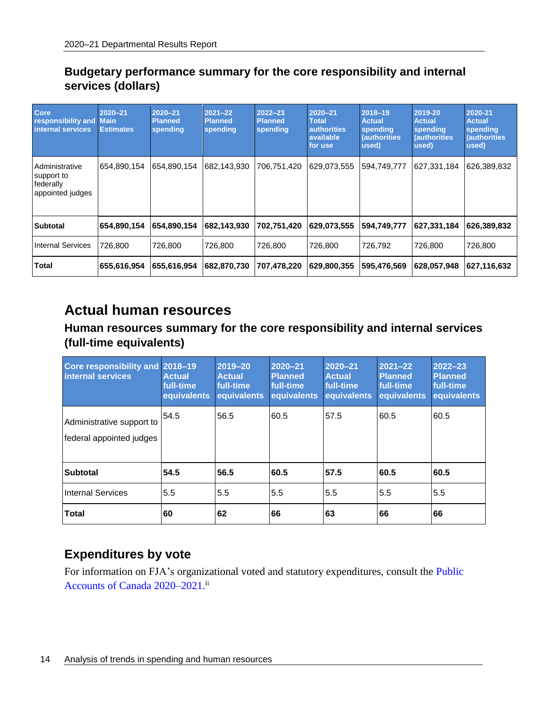### **Budgetary performance summary for the core responsibility and internal services (dollars)**

| <b>Core</b><br>responsibility and<br>internal services        | 2020-21<br><b>Main</b><br><b>Estimates</b> | 2020-21<br><b>Planned</b><br>spending | $2021 - 22$<br><b>Planned</b><br>spending | $2022 - 23$<br><b>Planned</b><br>spending | 2020-21<br><b>Total</b><br><b>authorities</b><br><b>available</b><br>for use | 2018-19<br><b>Actual</b><br>spending<br><i><b>(authorities)</b></i><br>used) | 2019-20<br><b>Actual</b><br>spending<br><b>(authorities)</b><br>used) | 2020-21<br><b>Actual</b><br>spending<br><b>(authorities)</b><br>used) |
|---------------------------------------------------------------|--------------------------------------------|---------------------------------------|-------------------------------------------|-------------------------------------------|------------------------------------------------------------------------------|------------------------------------------------------------------------------|-----------------------------------------------------------------------|-----------------------------------------------------------------------|
| Administrative<br>support to<br>federally<br>appointed judges | 654,890,154                                | 654,890,154                           | 682,143,930                               | 706,751,420                               | 629,073,555                                                                  | 594,749,777                                                                  | 627,331,184                                                           | 626,389,832                                                           |
| <b>Subtotal</b>                                               | 654,890,154                                | 654,890,154                           | 682,143,930                               | 702,751,420                               | 629,073,555                                                                  | 594,749,777                                                                  | 627,331,184                                                           | 626,389,832                                                           |
| Internal Services                                             | 726,800                                    | 726,800                               | 726,800                                   | 726,800                                   | 726,800                                                                      | 726,792                                                                      | 726,800                                                               | 726,800                                                               |
| Total                                                         | 655,616,954                                | 655.616,954                           | 682,870,730                               | 707,478,220                               | 629,800,355                                                                  | 595,476,569                                                                  | 628,057,948                                                           | 627,116,632                                                           |

## <span id="page-17-0"></span>**Actual human resources**

### **Human resources summary for the core responsibility and internal services (full-time equivalents)**

| Core responsibility and 2018-19<br>internal services  | <b>Actual</b><br>full-time<br>equivalents | 2019-20<br><b>Actual</b><br>full-time<br>equivalents | 2020-21<br><b>Planned</b><br>full-time<br>equivalents | 2020-21<br><b>Actual</b><br>full-time<br>equivalents | $2021 - 22$<br><b>Planned</b><br>full-time<br>equivalents | $2022 - 23$<br><b>Planned</b><br>full-time<br>equivalents |
|-------------------------------------------------------|-------------------------------------------|------------------------------------------------------|-------------------------------------------------------|------------------------------------------------------|-----------------------------------------------------------|-----------------------------------------------------------|
| Administrative support to<br>federal appointed judges | 54.5                                      | 56.5                                                 | 60.5                                                  | 57.5                                                 | 60.5                                                      | 60.5                                                      |
| <b>Subtotal</b>                                       | 54.5                                      | 56.5                                                 | 60.5                                                  | 57.5                                                 | 60.5                                                      | 60.5                                                      |
| <b>Internal Services</b>                              | 5.5                                       | 5.5                                                  | 5.5                                                   | 5.5                                                  | 5.5                                                       | 5.5                                                       |
| <b>Total</b>                                          | 60                                        | 62                                                   | 66                                                    | 63                                                   | 66                                                        | 66                                                        |

## <span id="page-17-1"></span>**[Expenditures by vote](#page-17-1)**

For information on FJA's organizational voted and statutory expenditures, consult the [Public](http://www.tpsgc-pwgsc.gc.ca/recgen/cpc-pac/index-eng.html)  [Accounts of Canada 2020–2021.](http://www.tpsgc-pwgsc.gc.ca/recgen/cpc-pac/index-eng.html) ii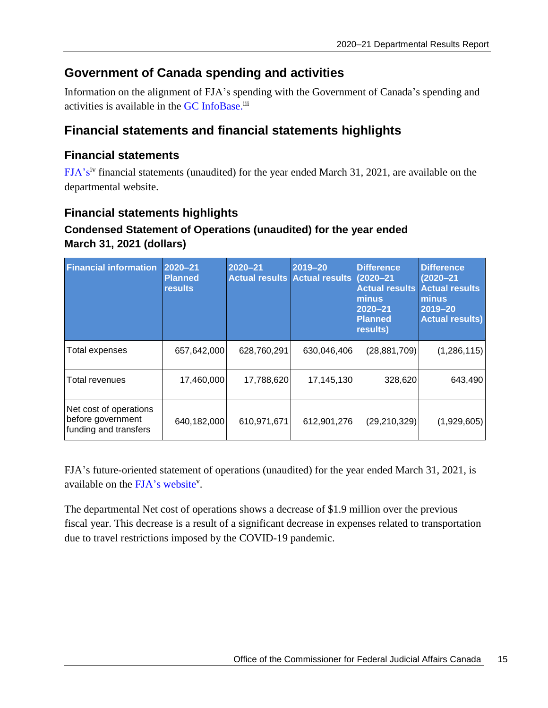## <span id="page-18-0"></span>**Government of Canada spending and activities**

Information on the alignment of FJA's spending with the Government of Canada's spending and activities is available in the GC [InfoBase.](https://www.tbs-sct.gc.ca/ems-sgd/edb-bdd/index-eng.html)<sup>iii</sup>

## <span id="page-18-1"></span>**Financial statements and financial statements highlights**

#### **Financial statements**

[FJA's](https://www.fja.gc.ca/publications/statement-etat/index-eng.html)iv financial statements (unaudited) for the year ended March 31, 2021, are available on the departmental website.

### **Financial statements highlights**

### **Condensed Statement of Operations (unaudited) for the year ended March 31, 2021 (dollars)**

| <b>Financial information</b>                                         | 2020-21<br><b>Planned</b><br><b>results</b> | $2020 - 21$ | 2019-20<br>Actual results Actual results (2020-21 | <b>Difference</b><br><b>Actual results</b><br>minus<br>2020-21<br><b>Planned</b><br>results) | <b>Difference</b><br>$(2020 - 21)$<br><b>Actual results</b><br>minus<br>2019-20<br><b>Actual results)</b> |
|----------------------------------------------------------------------|---------------------------------------------|-------------|---------------------------------------------------|----------------------------------------------------------------------------------------------|-----------------------------------------------------------------------------------------------------------|
| Total expenses                                                       | 657,642,000                                 | 628,760,291 | 630,046,406                                       | (28, 881, 709)                                                                               | (1,286,115)                                                                                               |
| Total revenues                                                       | 17,460,000                                  | 17,788,620  | 17,145,130                                        | 328,620                                                                                      | 643,490                                                                                                   |
| Net cost of operations<br>before government<br>funding and transfers | 640,182,000                                 | 610,971,671 | 612,901,276                                       | (29, 210, 329)                                                                               | (1,929,605)                                                                                               |

FJA's future-oriented statement of operations (unaudited) for the year ended March 31, 2021, is available on the [FJA's website](http://www.fja-cmf.gc.ca/publications/future-prospectifs/index-eng.html)<sup>v</sup>.

The departmental Net cost of operations shows a decrease of \$1.9 million over the previous fiscal year. This decrease is a result of a significant decrease in expenses related to transportation due to travel restrictions imposed by the COVID-19 pandemic.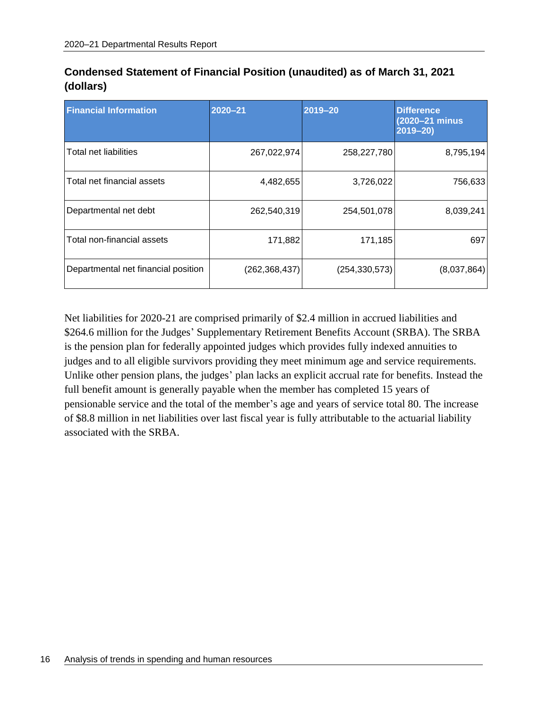| <b>Financial Information</b>        | $2020 - 21$     | 2019-20         | <b>Difference</b><br>(2020-21 minus<br>$2019 - 20$ |
|-------------------------------------|-----------------|-----------------|----------------------------------------------------|
| Total net liabilities               | 267,022,974     | 258,227,780     | 8,795,194                                          |
| Total net financial assets          | 4,482,655       | 3,726,022       | 756,633                                            |
| Departmental net debt               | 262,540,319     | 254,501,078     | 8,039,241                                          |
| Total non-financial assets          | 171,882         | 171,185         | 697                                                |
| Departmental net financial position | (262, 368, 437) | (254, 330, 573) | (8,037,864)                                        |

| Condensed Statement of Financial Position (unaudited) as of March 31, 2021 |  |
|----------------------------------------------------------------------------|--|
| (dollars)                                                                  |  |

Net liabilities for 2020-21 are comprised primarily of \$2.4 million in accrued liabilities and \$264.6 million for the Judges' Supplementary Retirement Benefits Account (SRBA). The SRBA is the pension plan for federally appointed judges which provides fully indexed annuities to judges and to all eligible survivors providing they meet minimum age and service requirements. Unlike other pension plans, the judges' plan lacks an explicit accrual rate for benefits. Instead the full benefit amount is generally payable when the member has completed 15 years of pensionable service and the total of the member's age and years of service total 80. The increase of \$8.8 million in net liabilities over last fiscal year is fully attributable to the actuarial liability associated with the SRBA.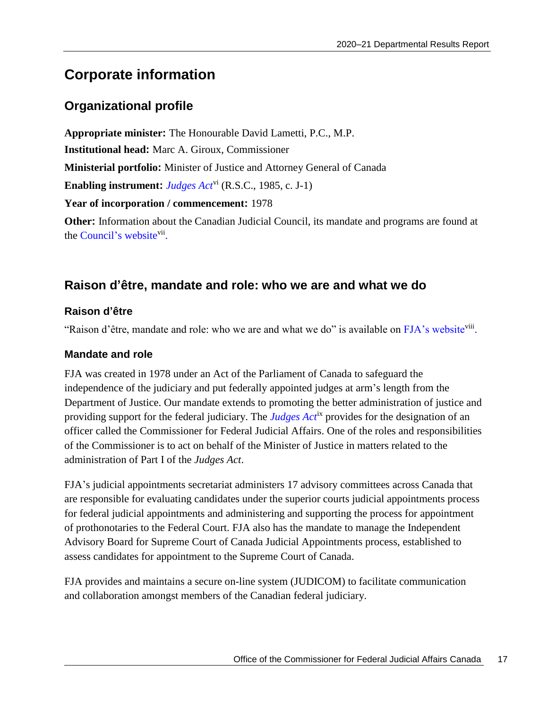## <span id="page-20-0"></span>**Corporate information**

## <span id="page-20-1"></span>**Organizational profile**

**Appropriate minister:** The Honourable David Lametti, P.C., M.P. **Institutional head:** Marc A. Giroux, Commissioner **Ministerial portfolio:** Minister of Justice and Attorney General of Canada **Enabling instrument:** *[Judges Act](http://lois-laws.justice.gc.ca/eng/acts/J-1/index.html)*vi (R.S.C., 1985, c. J-1) **Year of incorporation / commencement:** 1978 **Other:** Information about the Canadian Judicial Council, its mandate and programs are found at the [Council's website](http://www.cjc-ccm.gc.ca/)<sup>vii</sup>.

### **[Raison d'être, mandate and role: who we are and](#page-20-1) what we do**

#### **Raison d'être**

"Raison d'être, mandate and role: who we are and what we do" is available on [FJA's website](https://www.fja.gc.ca/fja-cmf/role-eng.html)<sup>viii</sup>.

#### **Mandate and role**

FJA was created in 1978 under an Act of the Parliament of Canada to safeguard the independence of the judiciary and put federally appointed judges at arm's length from the Department of Justice. Our mandate extends to promoting the better administration of justice and providing support for the federal judiciary. The *[Judges Act](http://laws-lois.justice.gc.ca/eng/acts/J-1/)*ix provides for the designation of an officer called the Commissioner for Federal Judicial Affairs. One of the roles and responsibilities of the Commissioner is to act on behalf of the Minister of Justice in matters related to the administration of Part I of the *Judges Act*.

FJA's judicial appointments secretariat administers 17 advisory committees across Canada that are responsible for evaluating candidates under the superior courts judicial appointments process for federal judicial appointments and administering and supporting the process for appointment of prothonotaries to the Federal Court. FJA also has the mandate to manage the Independent Advisory Board for Supreme Court of Canada Judicial Appointments process, established to assess candidates for appointment to the Supreme Court of Canada.

FJA provides and maintains a secure on-line system (JUDICOM) to facilitate communication and collaboration amongst members of the Canadian federal judiciary.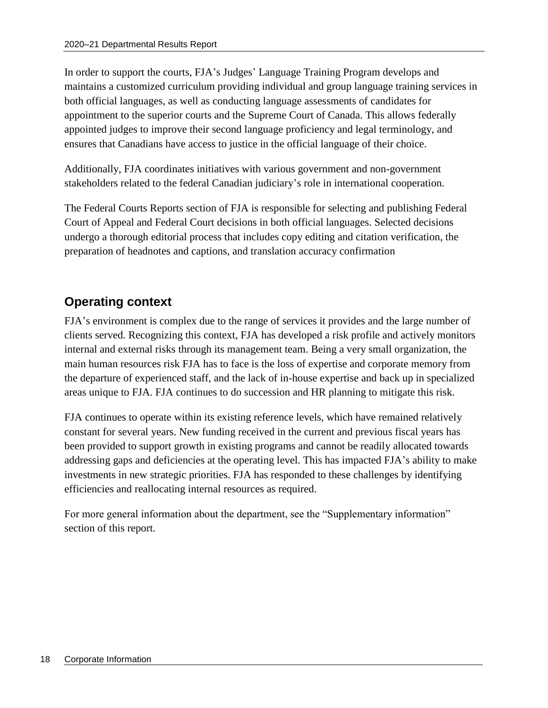In order to support the courts, FJA's Judges' Language Training Program develops and maintains a customized curriculum providing individual and group language training services in both official languages, as well as conducting language assessments of candidates for appointment to the superior courts and the Supreme Court of Canada. This allows federally appointed judges to improve their second language proficiency and legal terminology, and ensures that Canadians have access to justice in the official language of their choice.

Additionally, FJA coordinates initiatives with various government and non-government stakeholders related to the federal Canadian judiciary's role in international cooperation.

The Federal Courts Reports section of FJA is responsible for selecting and publishing Federal Court of Appeal and Federal Court decisions in both official languages. Selected decisions undergo a thorough editorial process that includes copy editing and citation verification, the preparation of headnotes and captions, and translation accuracy confirmation

## <span id="page-21-0"></span>**Operating context**

FJA's environment is complex due to the range of services it provides and the large number of clients served. Recognizing this context, FJA has developed a risk profile and actively monitors internal and external risks through its management team. Being a very small organization, the main human resources risk FJA has to face is the loss of expertise and corporate memory from the departure of experienced staff, and the lack of in-house expertise and back up in specialized areas unique to FJA. FJA continues to do succession and HR planning to mitigate this risk.

FJA continues to operate within its existing reference levels, which have remained relatively constant for several years. New funding received in the current and previous fiscal years has been provided to support growth in existing programs and cannot be readily allocated towards addressing gaps and deficiencies at the operating level. This has impacted FJA's ability to make investments in new strategic priorities. FJA has responded to these challenges by identifying efficiencies and reallocating internal resources as required.

For more general information about the department, see the "Supplementary information" section of this report.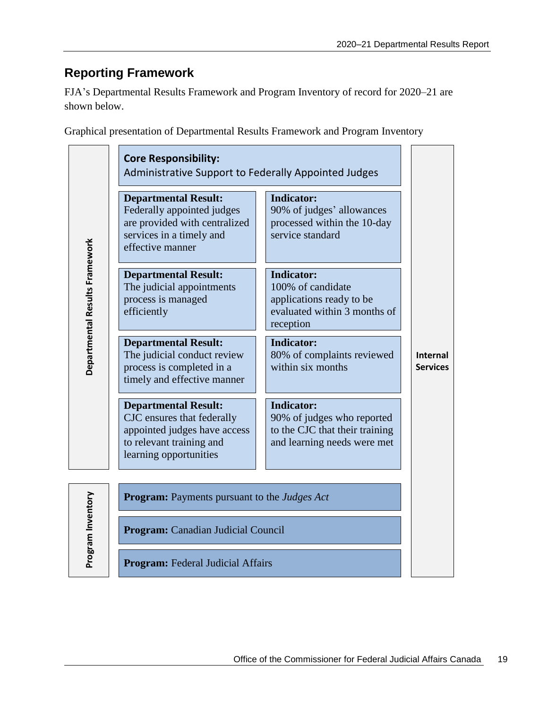## <span id="page-22-0"></span>**Reporting Framework**

FJA's Departmental Results Framework and Program Inventory of record for 2020–21 are shown below.

Graphical presentation of Departmental Results Framework and Program Inventory

|                                | <b>Core Responsibility:</b><br><b>Administrative Support to Federally Appointed Judges</b>                                                      |                                                                                                                  |                             |
|--------------------------------|-------------------------------------------------------------------------------------------------------------------------------------------------|------------------------------------------------------------------------------------------------------------------|-----------------------------|
|                                | <b>Departmental Result:</b><br>Federally appointed judges<br>are provided with centralized<br>services in a timely and<br>effective manner      | <b>Indicator:</b><br>90% of judges' allowances<br>processed within the 10-day<br>service standard                |                             |
| Departmental Results Framework | <b>Departmental Result:</b><br>The judicial appointments<br>process is managed<br>efficiently                                                   | <b>Indicator:</b><br>100% of candidate<br>applications ready to be<br>evaluated within 3 months of<br>reception  |                             |
|                                | <b>Departmental Result:</b><br>The judicial conduct review<br>process is completed in a<br>timely and effective manner                          | <b>Indicator:</b><br>80% of complaints reviewed<br>within six months                                             | Internal<br><b>Services</b> |
|                                | <b>Departmental Result:</b><br>CJC ensures that federally<br>appointed judges have access<br>to relevant training and<br>learning opportunities | <b>Indicator:</b><br>90% of judges who reported<br>to the CJC that their training<br>and learning needs were met |                             |
|                                | <b>Program:</b> Payments pursuant to the <i>Judges Act</i>                                                                                      |                                                                                                                  |                             |
| Program Inventory              | Program: Canadian Judicial Council                                                                                                              |                                                                                                                  |                             |
|                                | <b>Program:</b> Federal Judicial Affairs                                                                                                        |                                                                                                                  |                             |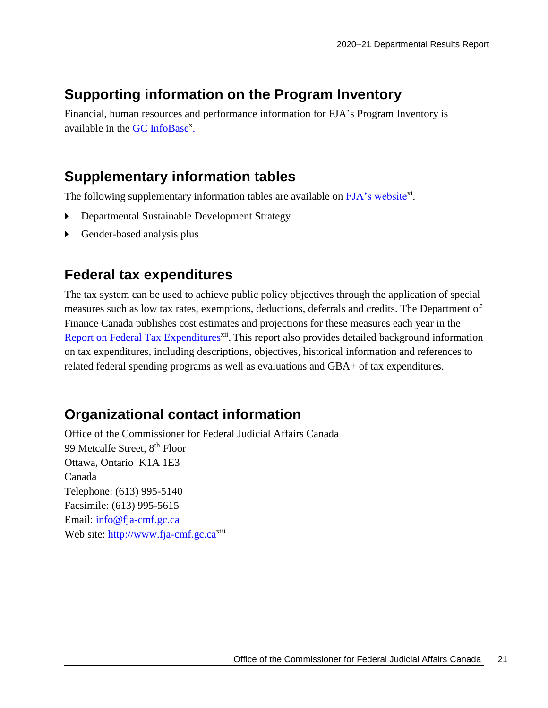## <span id="page-24-0"></span>**Supporting information on the Program Inventory**

Financial, human resources and performance information for FJA's Program Inventory is available in the GC [InfoBase](https://www.tbs-sct.gc.ca/ems-sgd/edb-bdd/index-eng.html)<sup>x</sup>.

## <span id="page-24-1"></span>**Supplementary information tables**

The following supplementary information tables are available on [FJA's website](https://www.fja.gc.ca/publications/dpr-rmr/index-eng.html)xi.

- Departmental Sustainable Development Strategy
- Gender-based analysis plus

## <span id="page-24-2"></span>**Federal tax expenditures**

The tax system can be used to achieve public policy objectives through the application of special measures such as low tax rates, exemptions, deductions, deferrals and credits. The Department of Finance Canada publishes cost estimates and projections for these measures each year in the [Report on Federal Tax Expenditures](https://www.canada.ca/en/department-finance/services/publications/federal-tax-expenditures.html)<sup>xii</sup>. This report also provides detailed background information on tax expenditures, including descriptions, objectives, historical information and references to related federal spending programs as well as evaluations and GBA+ of tax expenditures.

## <span id="page-24-3"></span>**Organizational contact information**

Office of the Commissioner for Federal Judicial Affairs Canada 99 Metcalfe Street, 8<sup>th</sup> Floor Ottawa, Ontario K1A 1E3 Canada Telephone: (613) 995-5140 Facsimile: (613) 995-5615 Email: [info@fja-cmf.gc.ca](file:///C:/Users/sfleck/AppData/Local/OpenText/OTEdit/DocumentCache/lumium-OTCS/c2528792/mailto_info@fja-cmf.gc.ca) Web site: [http://www.fja-cmf.gc.ca](http://www.fja-cmf.gc.ca/)<sup>xiii</sup>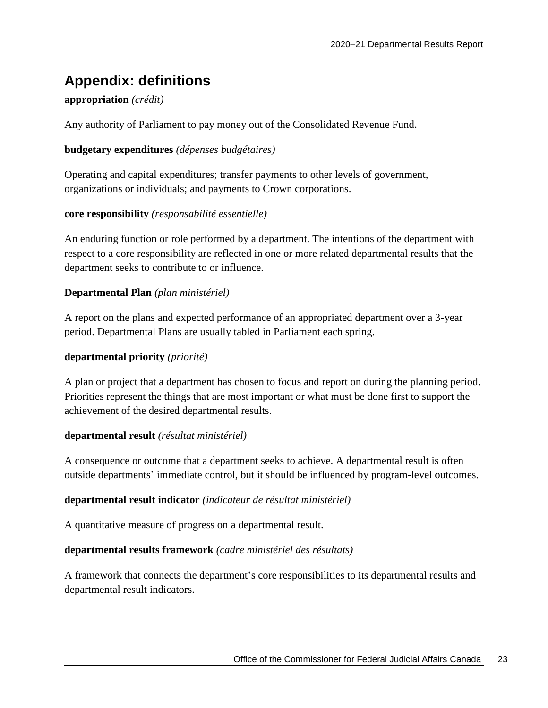## <span id="page-26-0"></span>**Appendix: definitions**

#### **appropriation** *(crédit)*

Any authority of Parliament to pay money out of the Consolidated Revenue Fund.

#### **budgetary expenditures** *(dépenses budgétaires)*

Operating and capital expenditures; transfer payments to other levels of government, organizations or individuals; and payments to Crown corporations.

#### **core responsibility** *(responsabilité essentielle)*

An enduring function or role performed by a department. The intentions of the department with respect to a core responsibility are reflected in one or more related departmental results that the department seeks to contribute to or influence.

#### **Departmental Plan** *(plan ministériel)*

A report on the plans and expected performance of an appropriated department over a 3-year period. Departmental Plans are usually tabled in Parliament each spring.

#### **departmental priority** *(priorité)*

A plan or project that a department has chosen to focus and report on during the planning period. Priorities represent the things that are most important or what must be done first to support the achievement of the desired departmental results.

#### **departmental result** *(résultat ministériel)*

A consequence or outcome that a department seeks to achieve. A departmental result is often outside departments' immediate control, but it should be influenced by program-level outcomes.

#### **departmental result indicator** *(indicateur de résultat ministériel)*

A quantitative measure of progress on a departmental result.

#### **departmental results framework** *(cadre ministériel des résultats)*

A framework that connects the department's core responsibilities to its departmental results and departmental result indicators.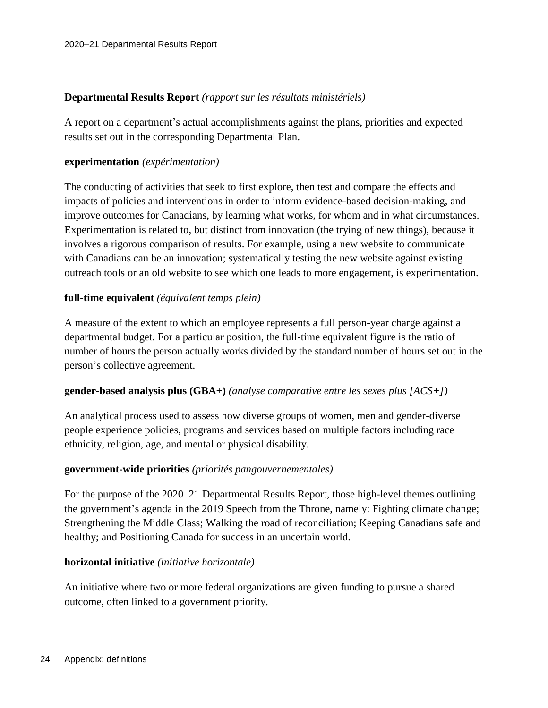#### **Departmental Results Report** *(rapport sur les résultats ministériels)*

A report on a department's actual accomplishments against the plans, priorities and expected results set out in the corresponding Departmental Plan.

#### **experimentation** *(expérimentation)*

The conducting of activities that seek to first explore, then test and compare the effects and impacts of policies and interventions in order to inform evidence-based decision-making, and improve outcomes for Canadians, by learning what works, for whom and in what circumstances. Experimentation is related to, but distinct from innovation (the trying of new things), because it involves a rigorous comparison of results. For example, using a new website to communicate with Canadians can be an innovation; systematically testing the new website against existing outreach tools or an old website to see which one leads to more engagement, is experimentation.

#### **full-time equivalent** *(équivalent temps plein)*

A measure of the extent to which an employee represents a full person-year charge against a departmental budget. For a particular position, the full-time equivalent figure is the ratio of number of hours the person actually works divided by the standard number of hours set out in the person's collective agreement.

#### **gender-based analysis plus (GBA+)** *(analyse comparative entre les sexes plus [ACS+])*

An analytical process used to assess how diverse groups of women, men and gender-diverse people experience policies, programs and services based on multiple factors including race ethnicity, religion, age, and mental or physical disability.

#### **government-wide priorities** *(priorités pangouvernementales)*

For the purpose of the 2020–21 Departmental Results Report, those high-level themes outlining the government's agenda in the 2019 Speech from the Throne, namely: Fighting climate change; Strengthening the Middle Class; Walking the road of reconciliation; Keeping Canadians safe and healthy; and Positioning Canada for success in an uncertain world.

#### **horizontal initiative** *(initiative horizontale)*

An initiative where two or more federal organizations are given funding to pursue a shared outcome, often linked to a government priority.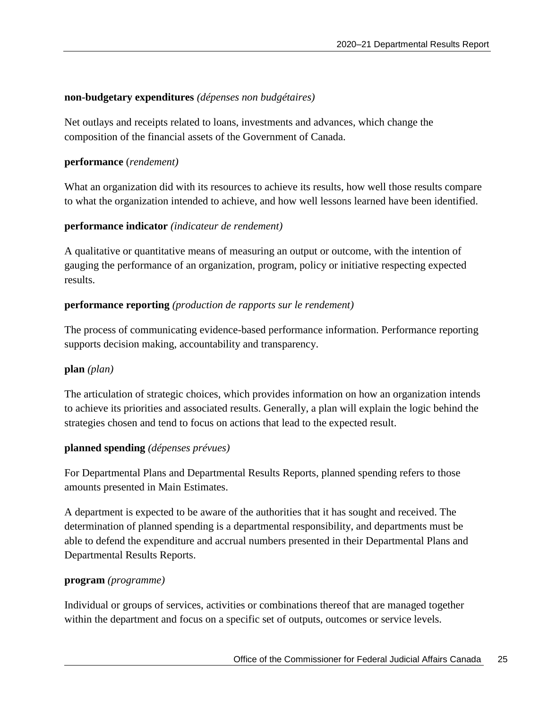#### **non-budgetary expenditures** *(dépenses non budgétaires)*

Net outlays and receipts related to loans, investments and advances, which change the composition of the financial assets of the Government of Canada.

#### **performance** (*rendement)*

What an organization did with its resources to achieve its results, how well those results compare to what the organization intended to achieve, and how well lessons learned have been identified.

#### **performance indicator** *(indicateur de rendement)*

A qualitative or quantitative means of measuring an output or outcome, with the intention of gauging the performance of an organization, program, policy or initiative respecting expected results.

#### **performance reporting** *(production de rapports sur le rendement)*

The process of communicating evidence-based performance information. Performance reporting supports decision making, accountability and transparency.

#### **plan** *(plan)*

The articulation of strategic choices, which provides information on how an organization intends to achieve its priorities and associated results. Generally, a plan will explain the logic behind the strategies chosen and tend to focus on actions that lead to the expected result.

#### **planned spending** *(dépenses prévues)*

For Departmental Plans and Departmental Results Reports, planned spending refers to those amounts presented in Main Estimates.

A department is expected to be aware of the authorities that it has sought and received. The determination of planned spending is a departmental responsibility, and departments must be able to defend the expenditure and accrual numbers presented in their Departmental Plans and Departmental Results Reports.

#### **program** *(programme)*

Individual or groups of services, activities or combinations thereof that are managed together within the department and focus on a specific set of outputs, outcomes or service levels.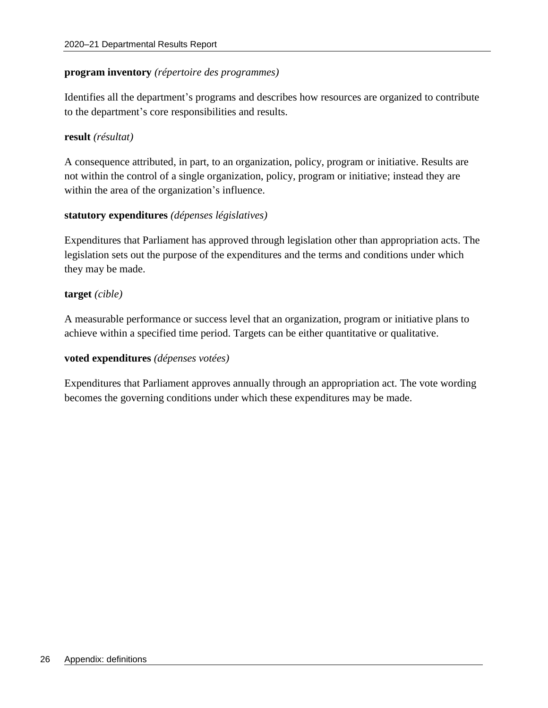#### **program inventory** *(répertoire des programmes)*

Identifies all the department's programs and describes how resources are organized to contribute to the department's core responsibilities and results.

#### **result** *(résultat)*

A consequence attributed, in part, to an organization, policy, program or initiative. Results are not within the control of a single organization, policy, program or initiative; instead they are within the area of the organization's influence.

#### **statutory expenditures** *(dépenses législatives)*

Expenditures that Parliament has approved through legislation other than appropriation acts. The legislation sets out the purpose of the expenditures and the terms and conditions under which they may be made.

#### **target** *(cible)*

A measurable performance or success level that an organization, program or initiative plans to achieve within a specified time period. Targets can be either quantitative or qualitative.

#### **voted expenditures** *(dépenses votées)*

Expenditures that Parliament approves annually through an appropriation act. The vote wording becomes the governing conditions under which these expenditures may be made.